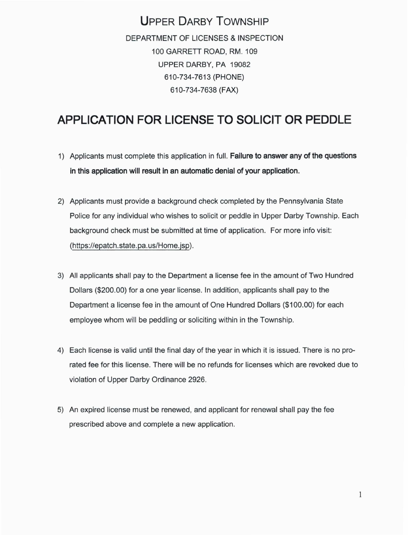### **UPPER DARBY TOWNSHIP**  DEPARTMENT OF LICENSES & INSPECTION 100 GARRETT ROAD, RM. 109 UPPER DARBY, PA 19082 610-734-7613 (PHONE) 610-734-7638 (FAX)

# **APPLICATION FOR LICENSE TO SOLICIT OR PEDDLE**

- 1) Applicants must complete this application in full. **Failure to answer any of the questions in this application will result in an automatic denial of your application.**
- 2) Applicants must provide a background check completed by the Pennsylvania State Police for any individual who wishes to solicit or peddle in Upper Darby Township. Each background check must be submitted at time of application. For more info visit: (https://epatch. state. pa. us/Home.jsp).
- 3) All applicants shall pay to the Department a license fee in the amount of Two Hundred Dollars (\$200.00) for a one year license. In addition, applicants shall pay to the Department a license fee in the amount of One Hundred Dollars (\$100.00) for each employee whom will be peddling or soliciting within in the Township.
- 4) Each license is valid until the final day of the year in which it is issued. There is no prorated fee for this license. There will be no refunds for licenses which are revoked due to violation of Upper Darby Ordinance 2926.
- 5) An expired license must be renewed, and applicant for renewal shall pay the fee prescribed above and complete a new application.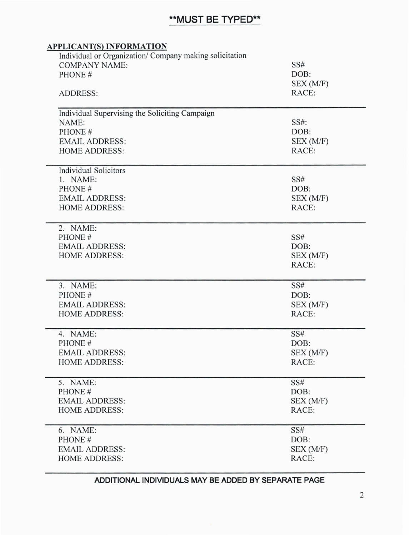## **\*\*MUST BE TYPED\*\***

| <b>APPLICANT(S) INFORMATION</b>                                                                              |                                   |                                                |           |
|--------------------------------------------------------------------------------------------------------------|-----------------------------------|------------------------------------------------|-----------|
| Individual or Organization/ Company making solicitation<br><b>COMPANY NAME:</b><br>PHONE#<br><b>ADDRESS:</b> | SS#<br>DOB:<br>SEX (M/F)<br>RACE: |                                                |           |
|                                                                                                              |                                   | Individual Supervising the Soliciting Campaign |           |
|                                                                                                              |                                   | NAME:                                          | SS#:      |
|                                                                                                              |                                   | PHONE#                                         | DOB:      |
|                                                                                                              |                                   | <b>EMAIL ADDRESS:</b>                          | SEX (M/F) |
| <b>HOME ADDRESS:</b>                                                                                         | RACE:                             |                                                |           |
| <b>Individual Solicitors</b>                                                                                 |                                   |                                                |           |
| 1. NAME:                                                                                                     | SS#                               |                                                |           |
| PHONE#                                                                                                       | DOB:                              |                                                |           |
| <b>EMAIL ADDRESS:</b>                                                                                        | SEX (M/F)                         |                                                |           |
| <b>HOME ADDRESS:</b>                                                                                         | RACE:                             |                                                |           |
| 2. NAME:                                                                                                     |                                   |                                                |           |
| PHONE#                                                                                                       | SS#                               |                                                |           |
| <b>EMAIL ADDRESS:</b>                                                                                        | DOB:                              |                                                |           |
| <b>HOME ADDRESS:</b>                                                                                         | SEX(M/F)                          |                                                |           |
|                                                                                                              | RACE:                             |                                                |           |
|                                                                                                              |                                   |                                                |           |
| 3. NAME:                                                                                                     | SS#                               |                                                |           |
| PHONE#                                                                                                       | DOB:                              |                                                |           |
| <b>EMAIL ADDRESS:</b>                                                                                        | SEX (M/F)                         |                                                |           |
| <b>HOME ADDRESS:</b>                                                                                         | RACE:                             |                                                |           |
| 4. NAME:                                                                                                     | SS#                               |                                                |           |
| PHONE#                                                                                                       | DOB:                              |                                                |           |
| <b>EMAIL ADDRESS:</b>                                                                                        | SEX (M/F)                         |                                                |           |
| <b>HOME ADDRESS:</b>                                                                                         | RACE:                             |                                                |           |
| 5. NAME:                                                                                                     | SS#                               |                                                |           |
| PHONE#                                                                                                       | DOB:                              |                                                |           |
| <b>EMAIL ADDRESS:</b>                                                                                        | SEX (M/F)                         |                                                |           |
| <b>HOME ADDRESS:</b>                                                                                         | RACE:                             |                                                |           |
| 6. NAME:                                                                                                     | SS#                               |                                                |           |
| PHONE#                                                                                                       | DOB:                              |                                                |           |
| <b>EMAIL ADDRESS:</b>                                                                                        | SEX (M/F)                         |                                                |           |
| <b>HOME ADDRESS:</b>                                                                                         | RACE:                             |                                                |           |

#### **ADDITIONAL INDIVIDUALS MAY BE ADDED BY SEPARATE PAGE**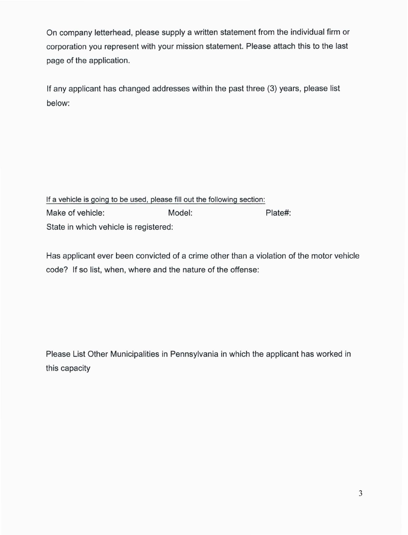On company letterhead, please supply a written statement from the individual firm or corporation you represent with your mission statement. Please attach this to the last page of the application.

If any applicant has changed addresses within the past three (3) years, please list below:

If a vehicle is going to be used, please fill out the following section: Make of vehicle: Model: Model: Plate#: State in which vehicle is registered:

Has applicant ever been convicted of a crime other than a violation of the motor vehicle code? If so list, when, where and the nature of the offense:

Please List Other Municipalities in Pennsylvania in which the applicant has worked in this capacity